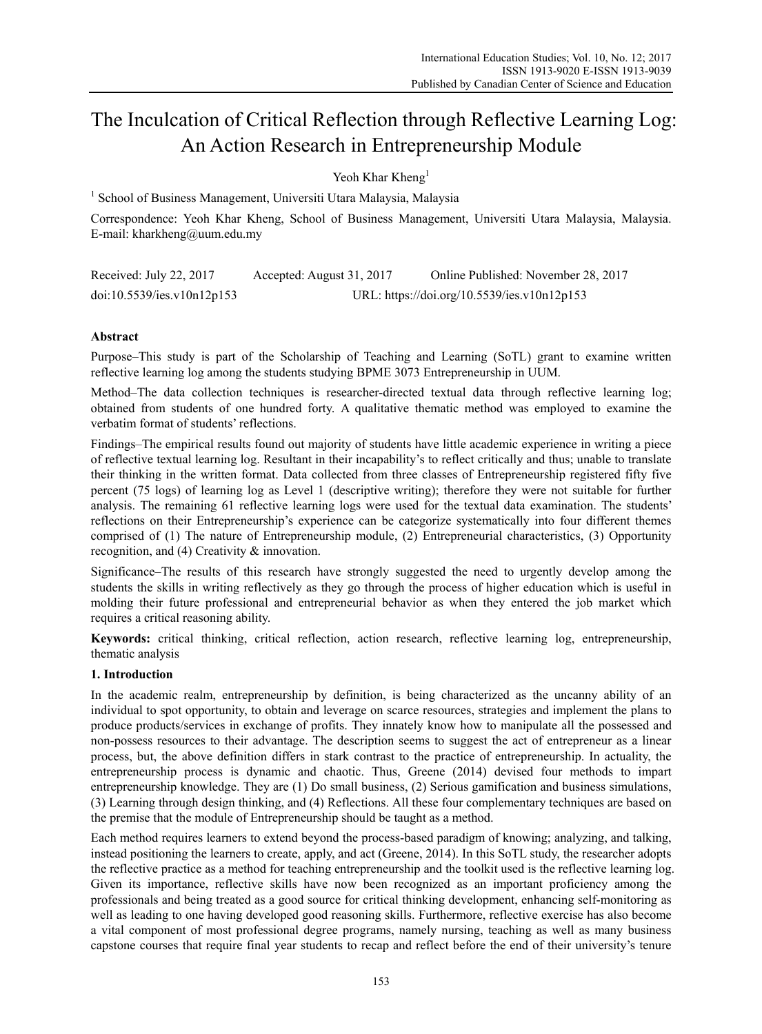# The Inculcation of Critical Reflection through Reflective Learning Log: An Action Research in Entrepreneurship Module

Yeoh Khar Kheng<sup>1</sup>

<sup>1</sup> School of Business Management, Universiti Utara Malaysia, Malaysia

Correspondence: Yeoh Khar Kheng, School of Business Management, Universiti Utara Malaysia, Malaysia. E-mail: kharkheng@uum.edu.my

| Received: July 22, 2017    | Accepted: August 31, 2017 | Online Published: November 28, 2017         |
|----------------------------|---------------------------|---------------------------------------------|
| doi:10.5539/ies.v10n12p153 |                           | URL: https://doi.org/10.5539/ies.v10n12p153 |

# **Abstract**

Purpose–This study is part of the Scholarship of Teaching and Learning (SoTL) grant to examine written reflective learning log among the students studying BPME 3073 Entrepreneurship in UUM.

Method–The data collection techniques is researcher-directed textual data through reflective learning log; obtained from students of one hundred forty. A qualitative thematic method was employed to examine the verbatim format of students' reflections.

Findings–The empirical results found out majority of students have little academic experience in writing a piece of reflective textual learning log. Resultant in their incapability's to reflect critically and thus; unable to translate their thinking in the written format. Data collected from three classes of Entrepreneurship registered fifty five percent (75 logs) of learning log as Level 1 (descriptive writing); therefore they were not suitable for further analysis. The remaining 61 reflective learning logs were used for the textual data examination. The students' reflections on their Entrepreneurship's experience can be categorize systematically into four different themes comprised of (1) The nature of Entrepreneurship module, (2) Entrepreneurial characteristics, (3) Opportunity recognition, and (4) Creativity & innovation.

Significance–The results of this research have strongly suggested the need to urgently develop among the students the skills in writing reflectively as they go through the process of higher education which is useful in molding their future professional and entrepreneurial behavior as when they entered the job market which requires a critical reasoning ability.

**Keywords:** critical thinking, critical reflection, action research, reflective learning log, entrepreneurship, thematic analysis

# **1. Introduction**

In the academic realm, entrepreneurship by definition, is being characterized as the uncanny ability of an individual to spot opportunity, to obtain and leverage on scarce resources, strategies and implement the plans to produce products/services in exchange of profits. They innately know how to manipulate all the possessed and non-possess resources to their advantage. The description seems to suggest the act of entrepreneur as a linear process, but, the above definition differs in stark contrast to the practice of entrepreneurship. In actuality, the entrepreneurship process is dynamic and chaotic. Thus, Greene (2014) devised four methods to impart entrepreneurship knowledge. They are (1) Do small business, (2) Serious gamification and business simulations, (3) Learning through design thinking, and (4) Reflections. All these four complementary techniques are based on the premise that the module of Entrepreneurship should be taught as a method.

Each method requires learners to extend beyond the process-based paradigm of knowing; analyzing, and talking, instead positioning the learners to create, apply, and act (Greene, 2014). In this SoTL study, the researcher adopts the reflective practice as a method for teaching entrepreneurship and the toolkit used is the reflective learning log. Given its importance, reflective skills have now been recognized as an important proficiency among the professionals and being treated as a good source for critical thinking development, enhancing self-monitoring as well as leading to one having developed good reasoning skills. Furthermore, reflective exercise has also become a vital component of most professional degree programs, namely nursing, teaching as well as many business capstone courses that require final year students to recap and reflect before the end of their university's tenure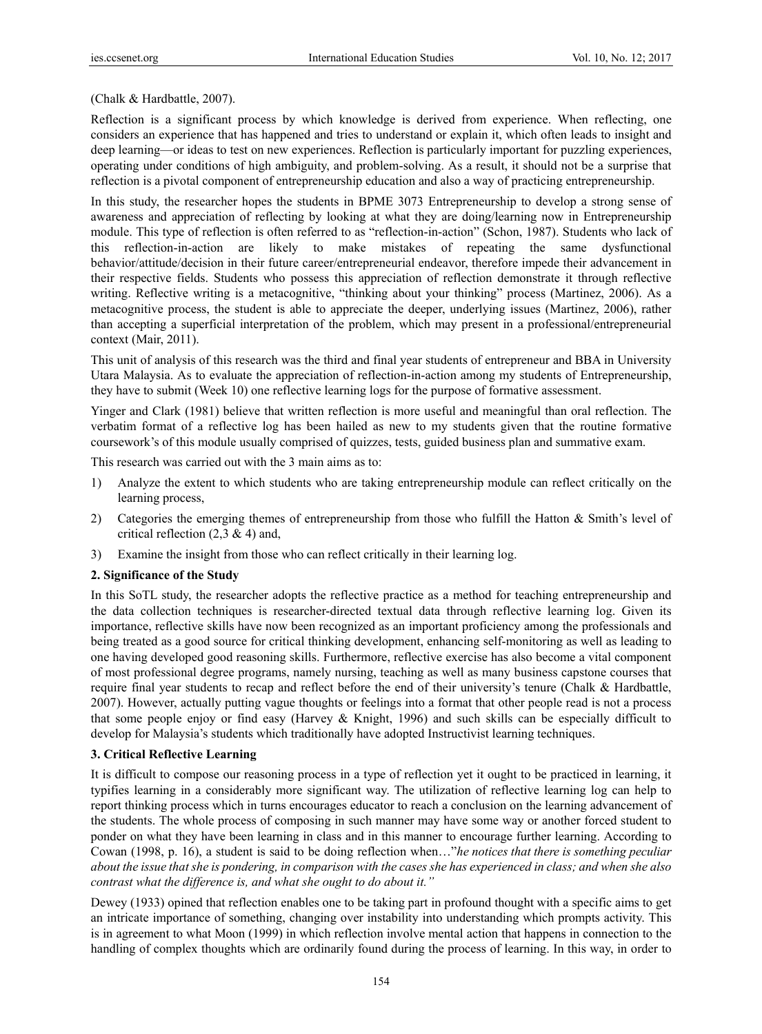#### (Chalk & Hardbattle, 2007).

Reflection is a significant process by which knowledge is derived from experience. When reflecting, one considers an experience that has happened and tries to understand or explain it, which often leads to insight and deep learning—or ideas to test on new experiences. Reflection is particularly important for puzzling experiences, operating under conditions of high ambiguity, and problem-solving. As a result, it should not be a surprise that reflection is a pivotal component of entrepreneurship education and also a way of practicing entrepreneurship.

In this study, the researcher hopes the students in BPME 3073 Entrepreneurship to develop a strong sense of awareness and appreciation of reflecting by looking at what they are doing/learning now in Entrepreneurship module. This type of reflection is often referred to as "reflection-in-action" (Schon, 1987). Students who lack of this reflection-in-action are likely to make mistakes of repeating the same dysfunctional behavior/attitude/decision in their future career/entrepreneurial endeavor, therefore impede their advancement in their respective fields. Students who possess this appreciation of reflection demonstrate it through reflective writing. Reflective writing is a metacognitive, "thinking about your thinking" process (Martinez, 2006). As a metacognitive process, the student is able to appreciate the deeper, underlying issues (Martinez, 2006), rather than accepting a superficial interpretation of the problem, which may present in a professional/entrepreneurial context (Mair, 2011).

This unit of analysis of this research was the third and final year students of entrepreneur and BBA in University Utara Malaysia. As to evaluate the appreciation of reflection-in-action among my students of Entrepreneurship, they have to submit (Week 10) one reflective learning logs for the purpose of formative assessment.

Yinger and Clark (1981) believe that written reflection is more useful and meaningful than oral reflection. The verbatim format of a reflective log has been hailed as new to my students given that the routine formative coursework's of this module usually comprised of quizzes, tests, guided business plan and summative exam.

This research was carried out with the 3 main aims as to:

- 1) Analyze the extent to which students who are taking entrepreneurship module can reflect critically on the learning process,
- 2) Categories the emerging themes of entrepreneurship from those who fulfill the Hatton & Smith's level of critical reflection  $(2,3 \& 4)$  and,
- 3) Examine the insight from those who can reflect critically in their learning log.

# **2. Significance of the Study**

In this SoTL study, the researcher adopts the reflective practice as a method for teaching entrepreneurship and the data collection techniques is researcher-directed textual data through reflective learning log. Given its importance, reflective skills have now been recognized as an important proficiency among the professionals and being treated as a good source for critical thinking development, enhancing self-monitoring as well as leading to one having developed good reasoning skills. Furthermore, reflective exercise has also become a vital component of most professional degree programs, namely nursing, teaching as well as many business capstone courses that require final year students to recap and reflect before the end of their university's tenure (Chalk & Hardbattle, 2007). However, actually putting vague thoughts or feelings into a format that other people read is not a process that some people enjoy or find easy (Harvey & Knight, 1996) and such skills can be especially difficult to develop for Malaysia's students which traditionally have adopted Instructivist learning techniques.

# **3. Critical Reflective Learning**

It is difficult to compose our reasoning process in a type of reflection yet it ought to be practiced in learning, it typifies learning in a considerably more significant way. The utilization of reflective learning log can help to report thinking process which in turns encourages educator to reach a conclusion on the learning advancement of the students. The whole process of composing in such manner may have some way or another forced student to ponder on what they have been learning in class and in this manner to encourage further learning. According to Cowan (1998, p. 16), a student is said to be doing reflection when…"*he notices that there is something peculiar about the issue that she is pondering, in comparison with the cases she has experienced in class; and when she also contrast what the difference is, and what she ought to do about it."*

Dewey (1933) opined that reflection enables one to be taking part in profound thought with a specific aims to get an intricate importance of something, changing over instability into understanding which prompts activity. This is in agreement to what Moon (1999) in which reflection involve mental action that happens in connection to the handling of complex thoughts which are ordinarily found during the process of learning. In this way, in order to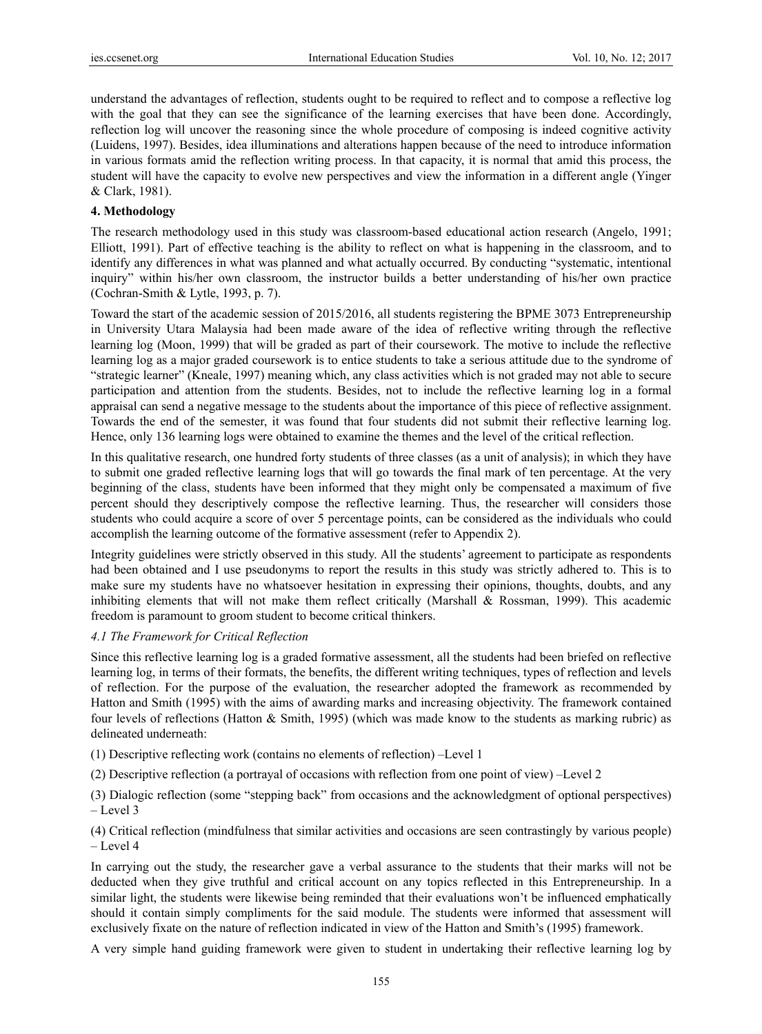understand the advantages of reflection, students ought to be required to reflect and to compose a reflective log with the goal that they can see the significance of the learning exercises that have been done. Accordingly, reflection log will uncover the reasoning since the whole procedure of composing is indeed cognitive activity (Luidens, 1997). Besides, idea illuminations and alterations happen because of the need to introduce information in various formats amid the reflection writing process. In that capacity, it is normal that amid this process, the student will have the capacity to evolve new perspectives and view the information in a different angle (Yinger & Clark, 1981).

#### **4. Methodology**

The research methodology used in this study was classroom-based educational action research (Angelo, 1991; Elliott, 1991). Part of effective teaching is the ability to reflect on what is happening in the classroom, and to identify any differences in what was planned and what actually occurred. By conducting "systematic, intentional inquiry" within his/her own classroom, the instructor builds a better understanding of his/her own practice (Cochran-Smith & Lytle, 1993, p. 7).

Toward the start of the academic session of 2015/2016, all students registering the BPME 3073 Entrepreneurship in University Utara Malaysia had been made aware of the idea of reflective writing through the reflective learning log (Moon, 1999) that will be graded as part of their coursework. The motive to include the reflective learning log as a major graded coursework is to entice students to take a serious attitude due to the syndrome of "strategic learner" (Kneale, 1997) meaning which, any class activities which is not graded may not able to secure participation and attention from the students. Besides, not to include the reflective learning log in a formal appraisal can send a negative message to the students about the importance of this piece of reflective assignment. Towards the end of the semester, it was found that four students did not submit their reflective learning log. Hence, only 136 learning logs were obtained to examine the themes and the level of the critical reflection.

In this qualitative research, one hundred forty students of three classes (as a unit of analysis); in which they have to submit one graded reflective learning logs that will go towards the final mark of ten percentage. At the very beginning of the class, students have been informed that they might only be compensated a maximum of five percent should they descriptively compose the reflective learning. Thus, the researcher will considers those students who could acquire a score of over 5 percentage points, can be considered as the individuals who could accomplish the learning outcome of the formative assessment (refer to Appendix 2).

Integrity guidelines were strictly observed in this study. All the students' agreement to participate as respondents had been obtained and I use pseudonyms to report the results in this study was strictly adhered to. This is to make sure my students have no whatsoever hesitation in expressing their opinions, thoughts, doubts, and any inhibiting elements that will not make them reflect critically (Marshall & Rossman, 1999). This academic freedom is paramount to groom student to become critical thinkers.

#### *4.1 The Framework for Critical Reflection*

Since this reflective learning log is a graded formative assessment, all the students had been briefed on reflective learning log, in terms of their formats, the benefits, the different writing techniques, types of reflection and levels of reflection. For the purpose of the evaluation, the researcher adopted the framework as recommended by Hatton and Smith (1995) with the aims of awarding marks and increasing objectivity. The framework contained four levels of reflections (Hatton & Smith, 1995) (which was made know to the students as marking rubric) as delineated underneath:

(1) Descriptive reflecting work (contains no elements of reflection) –Level 1

(2) Descriptive reflection (a portrayal of occasions with reflection from one point of view) –Level 2

(3) Dialogic reflection (some "stepping back" from occasions and the acknowledgment of optional perspectives)  $-$ Level 3

(4) Critical reflection (mindfulness that similar activities and occasions are seen contrastingly by various people) – Level 4

In carrying out the study, the researcher gave a verbal assurance to the students that their marks will not be deducted when they give truthful and critical account on any topics reflected in this Entrepreneurship. In a similar light, the students were likewise being reminded that their evaluations won't be influenced emphatically should it contain simply compliments for the said module. The students were informed that assessment will exclusively fixate on the nature of reflection indicated in view of the Hatton and Smith's (1995) framework.

A very simple hand guiding framework were given to student in undertaking their reflective learning log by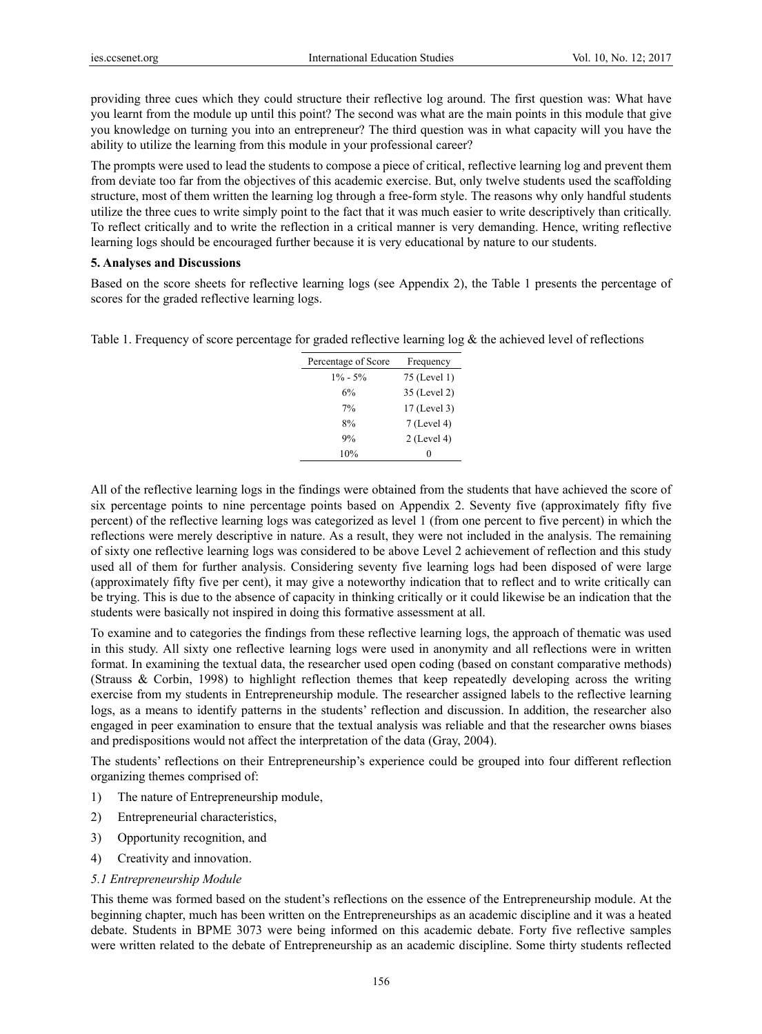providing three cues which they could structure their reflective log around. The first question was: What have you learnt from the module up until this point? The second was what are the main points in this module that give you knowledge on turning you into an entrepreneur? The third question was in what capacity will you have the ability to utilize the learning from this module in your professional career?

The prompts were used to lead the students to compose a piece of critical, reflective learning log and prevent them from deviate too far from the objectives of this academic exercise. But, only twelve students used the scaffolding structure, most of them written the learning log through a free-form style. The reasons why only handful students utilize the three cues to write simply point to the fact that it was much easier to write descriptively than critically. To reflect critically and to write the reflection in a critical manner is very demanding. Hence, writing reflective learning logs should be encouraged further because it is very educational by nature to our students.

# **5. Analyses and Discussions**

Based on the score sheets for reflective learning logs (see Appendix 2), the Table 1 presents the percentage of scores for the graded reflective learning logs.

Table 1. Frequency of score percentage for graded reflective learning log & the achieved level of reflections

| Percentage of Score | Frequency     |
|---------------------|---------------|
| $1\% - 5\%$         | 75 (Level 1)  |
| 6%                  | 35 (Level 2)  |
| 7%                  | 17 (Level 3)  |
| 8%                  | $7$ (Level 4) |
| 9%                  | $2$ (Level 4) |
| 10%                 | 0             |

All of the reflective learning logs in the findings were obtained from the students that have achieved the score of six percentage points to nine percentage points based on Appendix 2. Seventy five (approximately fifty five percent) of the reflective learning logs was categorized as level 1 (from one percent to five percent) in which the reflections were merely descriptive in nature. As a result, they were not included in the analysis. The remaining of sixty one reflective learning logs was considered to be above Level 2 achievement of reflection and this study used all of them for further analysis. Considering seventy five learning logs had been disposed of were large (approximately fifty five per cent), it may give a noteworthy indication that to reflect and to write critically can be trying. This is due to the absence of capacity in thinking critically or it could likewise be an indication that the students were basically not inspired in doing this formative assessment at all.

To examine and to categories the findings from these reflective learning logs, the approach of thematic was used in this study. All sixty one reflective learning logs were used in anonymity and all reflections were in written format. In examining the textual data, the researcher used open coding (based on constant comparative methods) (Strauss & Corbin, 1998) to highlight reflection themes that keep repeatedly developing across the writing exercise from my students in Entrepreneurship module. The researcher assigned labels to the reflective learning logs, as a means to identify patterns in the students' reflection and discussion. In addition, the researcher also engaged in peer examination to ensure that the textual analysis was reliable and that the researcher owns biases and predispositions would not affect the interpretation of the data (Gray, 2004).

The students' reflections on their Entrepreneurship's experience could be grouped into four different reflection organizing themes comprised of:

- 1) The nature of Entrepreneurship module,
- 2) Entrepreneurial characteristics,
- 3) Opportunity recognition, and
- 4) Creativity and innovation.
- *5.1 Entrepreneurship Module*

This theme was formed based on the student's reflections on the essence of the Entrepreneurship module. At the beginning chapter, much has been written on the Entrepreneurships as an academic discipline and it was a heated debate. Students in BPME 3073 were being informed on this academic debate. Forty five reflective samples were written related to the debate of Entrepreneurship as an academic discipline. Some thirty students reflected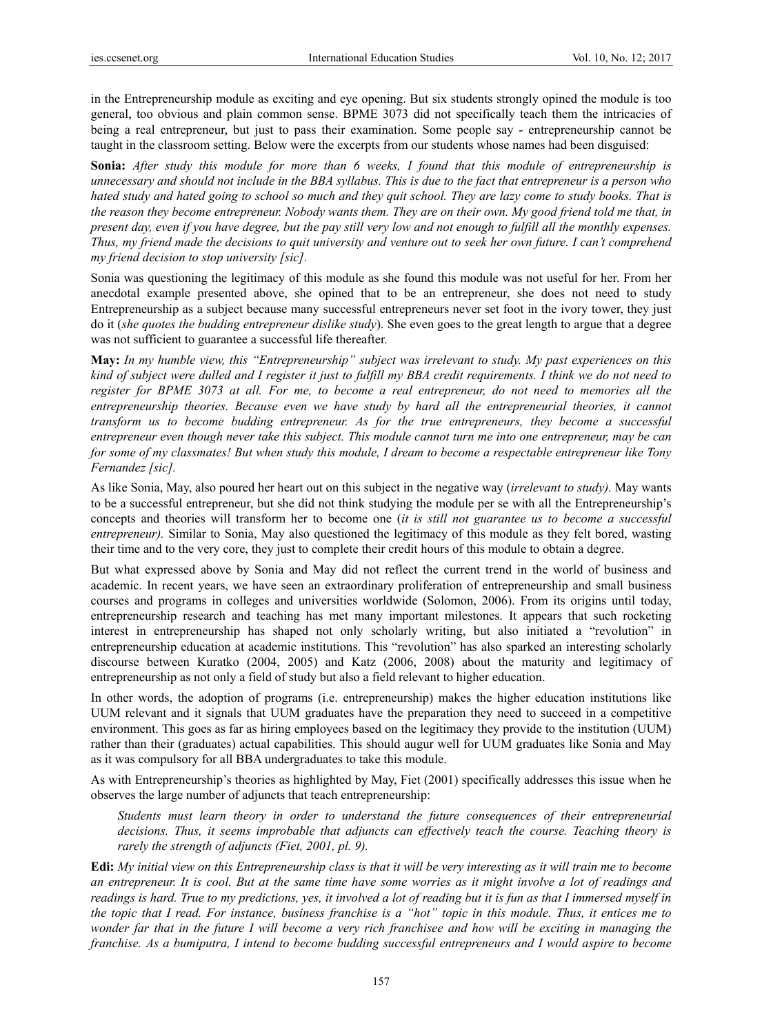in the Entrepreneurship module as exciting and eye opening. But six students strongly opined the module is too general, too obvious and plain common sense. BPME 3073 did not specifically teach them the intricacies of being a real entrepreneur, but just to pass their examination. Some people say - entrepreneurship cannot be taught in the classroom setting. Below were the excerpts from our students whose names had been disguised:

**Sonia:** *After study this module for more than 6 weeks, I found that this module of entrepreneurship is unnecessary and should not include in the BBA syllabus. This is due to the fact that entrepreneur is a person who hated study and hated going to school so much and they quit school. They are lazy come to study books. That is the reason they become entrepreneur. Nobody wants them. They are on their own. My good friend told me that, in present day, even if you have degree, but the pay still very low and not enough to fulfill all the monthly expenses. Thus, my friend made the decisions to quit university and venture out to seek her own future. I can't comprehend my friend decision to stop university [sic].* 

Sonia was questioning the legitimacy of this module as she found this module was not useful for her. From her anecdotal example presented above, she opined that to be an entrepreneur, she does not need to study Entrepreneurship as a subject because many successful entrepreneurs never set foot in the ivory tower, they just do it (*she quotes the budding entrepreneur dislike study*). She even goes to the great length to argue that a degree was not sufficient to guarantee a successful life thereafter.

**May:** *In my humble view, this "Entrepreneurship" subject was irrelevant to study. My past experiences on this kind of subject were dulled and I register it just to fulfill my BBA credit requirements. I think we do not need to register for BPME 3073 at all. For me, to become a real entrepreneur, do not need to memories all the entrepreneurship theories. Because even we have study by hard all the entrepreneurial theories, it cannot transform us to become budding entrepreneur. As for the true entrepreneurs, they become a successful entrepreneur even though never take this subject. This module cannot turn me into one entrepreneur, may be can for some of my classmates! But when study this module, I dream to become a respectable entrepreneur like Tony Fernandez [sic].* 

As like Sonia, May, also poured her heart out on this subject in the negative way (*irrelevant to study).* May wants to be a successful entrepreneur, but she did not think studying the module per se with all the Entrepreneurship's concepts and theories will transform her to become one (*it is still not guarantee us to become a successful entrepreneur).* Similar to Sonia, May also questioned the legitimacy of this module as they felt bored, wasting their time and to the very core, they just to complete their credit hours of this module to obtain a degree.

But what expressed above by Sonia and May did not reflect the current trend in the world of business and academic. In recent years, we have seen an extraordinary proliferation of entrepreneurship and small business courses and programs in colleges and universities worldwide (Solomon, 2006). From its origins until today, entrepreneurship research and teaching has met many important milestones. It appears that such rocketing interest in entrepreneurship has shaped not only scholarly writing, but also initiated a "revolution" in entrepreneurship education at academic institutions. This "revolution" has also sparked an interesting scholarly discourse between Kuratko (2004, 2005) and Katz (2006, 2008) about the maturity and legitimacy of entrepreneurship as not only a field of study but also a field relevant to higher education.

In other words, the adoption of programs (i.e. entrepreneurship) makes the higher education institutions like UUM relevant and it signals that UUM graduates have the preparation they need to succeed in a competitive environment. This goes as far as hiring employees based on the legitimacy they provide to the institution (UUM) rather than their (graduates) actual capabilities. This should augur well for UUM graduates like Sonia and May as it was compulsory for all BBA undergraduates to take this module.

As with Entrepreneurship's theories as highlighted by May, Fiet (2001) specifically addresses this issue when he observes the large number of adjuncts that teach entrepreneurship:

*Students must learn theory in order to understand the future consequences of their entrepreneurial decisions. Thus, it seems improbable that adjuncts can effectively teach the course. Teaching theory is rarely the strength of adjuncts (Fiet, 2001, pl. 9).* 

**Edi:** *My initial view on this Entrepreneurship class is that it will be very interesting as it will train me to become an entrepreneur. It is cool. But at the same time have some worries as it might involve a lot of readings and readings is hard. True to my predictions, yes, it involved a lot of reading but it is fun as that I immersed myself in the topic that I read. For instance, business franchise is a "hot" topic in this module. Thus, it entices me to wonder far that in the future I will become a very rich franchisee and how will be exciting in managing the franchise. As a bumiputra, I intend to become budding successful entrepreneurs and I would aspire to become*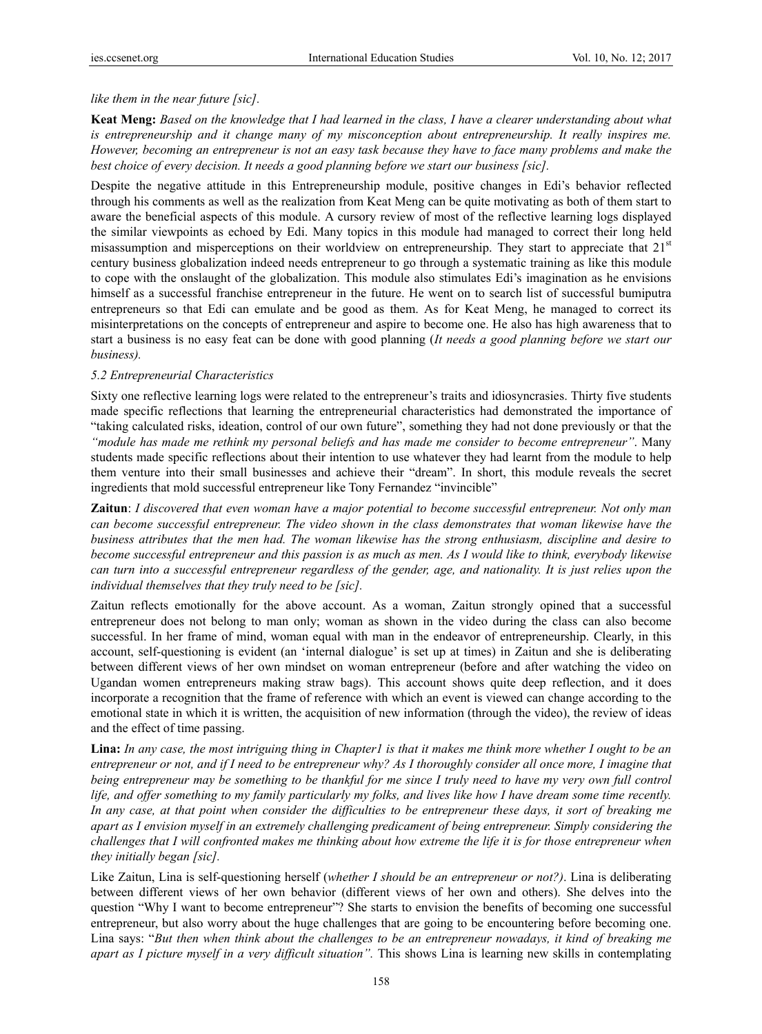#### *like them in the near future [sic].*

**Keat Meng:** *Based on the knowledge that I had learned in the class, I have a clearer understanding about what is entrepreneurship and it change many of my misconception about entrepreneurship. It really inspires me. However, becoming an entrepreneur is not an easy task because they have to face many problems and make the best choice of every decision. It needs a good planning before we start our business [sic].* 

Despite the negative attitude in this Entrepreneurship module, positive changes in Edi's behavior reflected through his comments as well as the realization from Keat Meng can be quite motivating as both of them start to aware the beneficial aspects of this module. A cursory review of most of the reflective learning logs displayed the similar viewpoints as echoed by Edi. Many topics in this module had managed to correct their long held misassumption and misperceptions on their worldview on entrepreneurship. They start to appreciate that 21<sup>st</sup> century business globalization indeed needs entrepreneur to go through a systematic training as like this module to cope with the onslaught of the globalization. This module also stimulates Edi's imagination as he envisions himself as a successful franchise entrepreneur in the future. He went on to search list of successful bumiputra entrepreneurs so that Edi can emulate and be good as them. As for Keat Meng, he managed to correct its misinterpretations on the concepts of entrepreneur and aspire to become one. He also has high awareness that to start a business is no easy feat can be done with good planning (*It needs a good planning before we start our business).* 

#### *5.2 Entrepreneurial Characteristics*

Sixty one reflective learning logs were related to the entrepreneur's traits and idiosyncrasies. Thirty five students made specific reflections that learning the entrepreneurial characteristics had demonstrated the importance of "taking calculated risks, ideation, control of our own future", something they had not done previously or that the *"module has made me rethink my personal beliefs and has made me consider to become entrepreneur"*. Many students made specific reflections about their intention to use whatever they had learnt from the module to help them venture into their small businesses and achieve their "dream". In short, this module reveals the secret ingredients that mold successful entrepreneur like Tony Fernandez "invincible"

**Zaitun**: *I discovered that even woman have a major potential to become successful entrepreneur. Not only man can become successful entrepreneur. The video shown in the class demonstrates that woman likewise have the business attributes that the men had. The woman likewise has the strong enthusiasm, discipline and desire to become successful entrepreneur and this passion is as much as men. As I would like to think, everybody likewise can turn into a successful entrepreneur regardless of the gender, age, and nationality. It is just relies upon the individual themselves that they truly need to be [sic].* 

Zaitun reflects emotionally for the above account. As a woman, Zaitun strongly opined that a successful entrepreneur does not belong to man only; woman as shown in the video during the class can also become successful. In her frame of mind, woman equal with man in the endeavor of entrepreneurship. Clearly, in this account, self-questioning is evident (an 'internal dialogue' is set up at times) in Zaitun and she is deliberating between different views of her own mindset on woman entrepreneur (before and after watching the video on Ugandan women entrepreneurs making straw bags). This account shows quite deep reflection, and it does incorporate a recognition that the frame of reference with which an event is viewed can change according to the emotional state in which it is written, the acquisition of new information (through the video), the review of ideas and the effect of time passing.

**Lina:** *In any case, the most intriguing thing in Chapter1 is that it makes me think more whether I ought to be an entrepreneur or not, and if I need to be entrepreneur why? As I thoroughly consider all once more, I imagine that being entrepreneur may be something to be thankful for me since I truly need to have my very own full control life, and offer something to my family particularly my folks, and lives like how I have dream some time recently. In any case, at that point when consider the difficulties to be entrepreneur these days, it sort of breaking me apart as I envision myself in an extremely challenging predicament of being entrepreneur. Simply considering the challenges that I will confronted makes me thinking about how extreme the life it is for those entrepreneur when they initially began [sic].* 

Like Zaitun, Lina is self-questioning herself (*whether I should be an entrepreneur or not?)*. Lina is deliberating between different views of her own behavior (different views of her own and others). She delves into the question "Why I want to become entrepreneur"? She starts to envision the benefits of becoming one successful entrepreneur, but also worry about the huge challenges that are going to be encountering before becoming one. Lina says: "*But then when think about the challenges to be an entrepreneur nowadays, it kind of breaking me apart as I picture myself in a very difficult situation".* This shows Lina is learning new skills in contemplating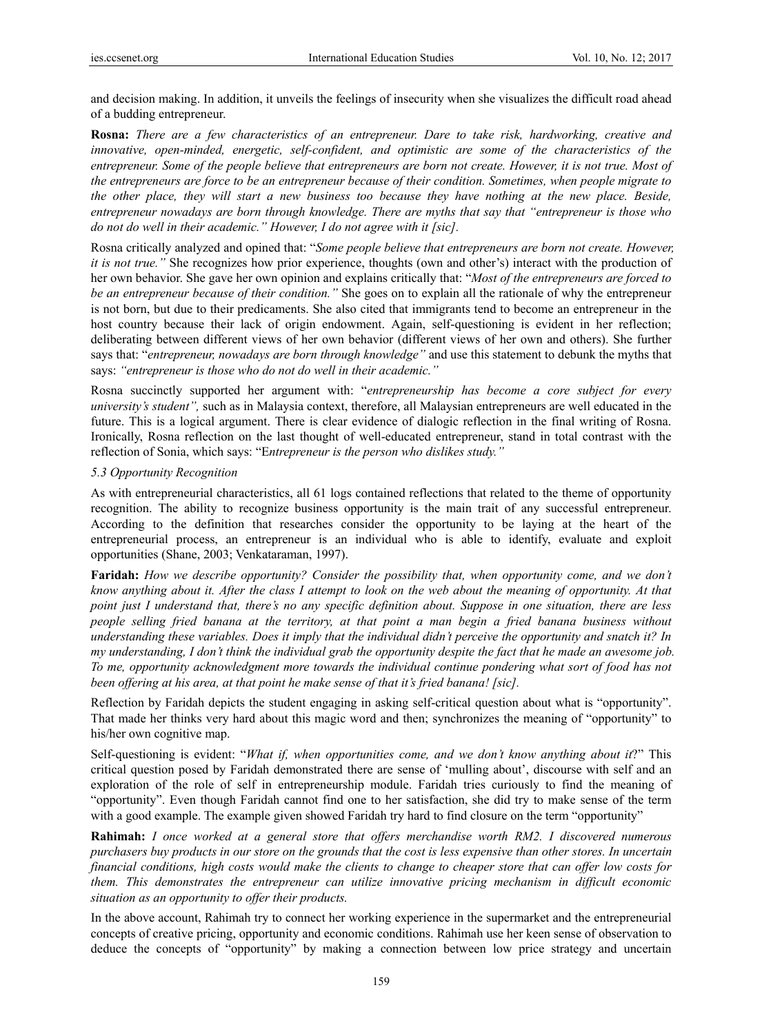and decision making. In addition, it unveils the feelings of insecurity when she visualizes the difficult road ahead of a budding entrepreneur.

**Rosna:** *There are a few characteristics of an entrepreneur. Dare to take risk, hardworking, creative and innovative, open-minded, energetic, self-confident, and optimistic are some of the characteristics of the entrepreneur. Some of the people believe that entrepreneurs are born not create. However, it is not true. Most of the entrepreneurs are force to be an entrepreneur because of their condition. Sometimes, when people migrate to the other place, they will start a new business too because they have nothing at the new place. Beside, entrepreneur nowadays are born through knowledge. There are myths that say that "entrepreneur is those who do not do well in their academic." However, I do not agree with it [sic].* 

Rosna critically analyzed and opined that: "*Some people believe that entrepreneurs are born not create. However, it is not true.*" She recognizes how prior experience, thoughts (own and other's) interact with the production of her own behavior. She gave her own opinion and explains critically that: "*Most of the entrepreneurs are forced to be an entrepreneur because of their condition."* She goes on to explain all the rationale of why the entrepreneur is not born, but due to their predicaments. She also cited that immigrants tend to become an entrepreneur in the host country because their lack of origin endowment. Again, self-questioning is evident in her reflection; deliberating between different views of her own behavior (different views of her own and others). She further says that: "*entrepreneur, nowadays are born through knowledge"* and use this statement to debunk the myths that says: *"entrepreneur is those who do not do well in their academic."*

Rosna succinctly supported her argument with: "*entrepreneurship has become a core subject for every university's student",* such as in Malaysia context, therefore, all Malaysian entrepreneurs are well educated in the future. This is a logical argument. There is clear evidence of dialogic reflection in the final writing of Rosna. Ironically, Rosna reflection on the last thought of well-educated entrepreneur, stand in total contrast with the reflection of Sonia, which says: "E*ntrepreneur is the person who dislikes study."* 

#### *5.3 Opportunity Recognition*

As with entrepreneurial characteristics, all 61 logs contained reflections that related to the theme of opportunity recognition. The ability to recognize business opportunity is the main trait of any successful entrepreneur. According to the definition that researches consider the opportunity to be laying at the heart of the entrepreneurial process, an entrepreneur is an individual who is able to identify, evaluate and exploit opportunities (Shane, 2003; Venkataraman, 1997).

**Faridah:** *How we describe opportunity? Consider the possibility that, when opportunity come, and we don't know anything about it. After the class I attempt to look on the web about the meaning of opportunity. At that point just I understand that, there's no any specific definition about. Suppose in one situation, there are less people selling fried banana at the territory, at that point a man begin a fried banana business without understanding these variables. Does it imply that the individual didn't perceive the opportunity and snatch it? In my understanding, I don't think the individual grab the opportunity despite the fact that he made an awesome job. To me, opportunity acknowledgment more towards the individual continue pondering what sort of food has not been offering at his area, at that point he make sense of that it's fried banana! [sic].* 

Reflection by Faridah depicts the student engaging in asking self-critical question about what is "opportunity". That made her thinks very hard about this magic word and then; synchronizes the meaning of "opportunity" to his/her own cognitive map.

Self-questioning is evident: "*What if, when opportunities come, and we don't know anything about it*?" This critical question posed by Faridah demonstrated there are sense of 'mulling about', discourse with self and an exploration of the role of self in entrepreneurship module. Faridah tries curiously to find the meaning of "opportunity". Even though Faridah cannot find one to her satisfaction, she did try to make sense of the term with a good example. The example given showed Faridah try hard to find closure on the term "opportunity"

**Rahimah:** *I once worked at a general store that offers merchandise worth RM2. I discovered numerous purchasers buy products in our store on the grounds that the cost is less expensive than other stores. In uncertain financial conditions, high costs would make the clients to change to cheaper store that can offer low costs for them. This demonstrates the entrepreneur can utilize innovative pricing mechanism in difficult economic situation as an opportunity to offer their products.* 

In the above account, Rahimah try to connect her working experience in the supermarket and the entrepreneurial concepts of creative pricing, opportunity and economic conditions. Rahimah use her keen sense of observation to deduce the concepts of "opportunity" by making a connection between low price strategy and uncertain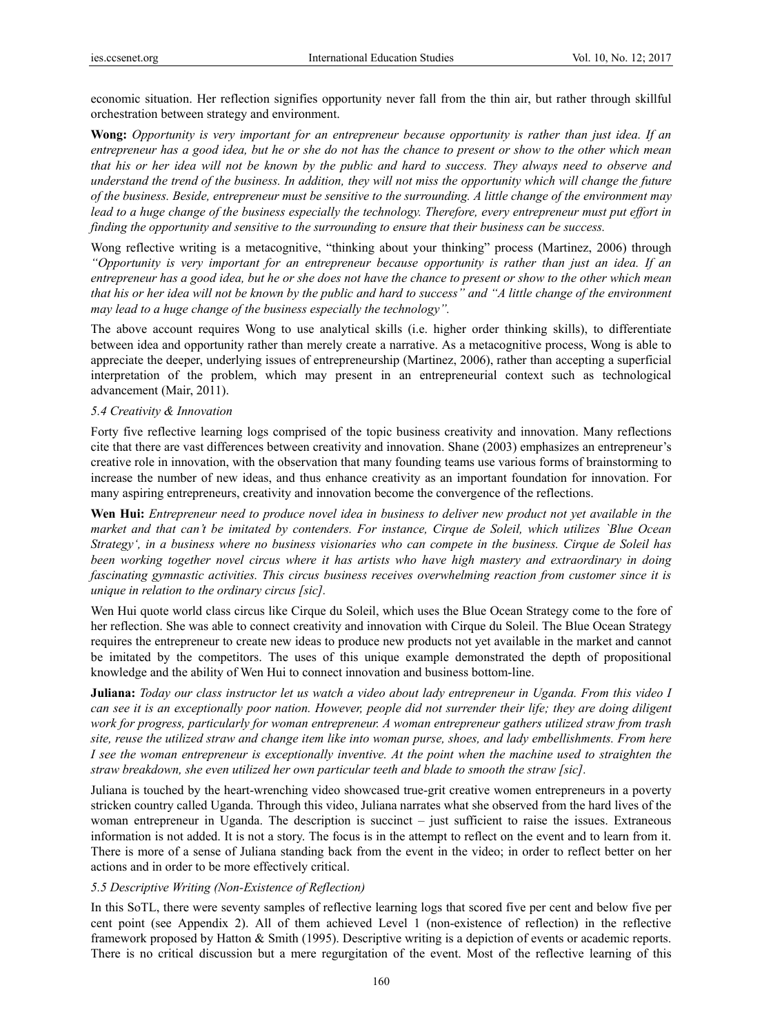economic situation. Her reflection signifies opportunity never fall from the thin air, but rather through skillful orchestration between strategy and environment.

**Wong:** *Opportunity is very important for an entrepreneur because opportunity is rather than just idea. If an entrepreneur has a good idea, but he or she do not has the chance to present or show to the other which mean that his or her idea will not be known by the public and hard to success. They always need to observe and understand the trend of the business. In addition, they will not miss the opportunity which will change the future of the business. Beside, entrepreneur must be sensitive to the surrounding. A little change of the environment may lead to a huge change of the business especially the technology. Therefore, every entrepreneur must put effort in finding the opportunity and sensitive to the surrounding to ensure that their business can be success.* 

Wong reflective writing is a metacognitive, "thinking about your thinking" process (Martinez, 2006) through *"Opportunity is very important for an entrepreneur because opportunity is rather than just an idea. If an entrepreneur has a good idea, but he or she does not have the chance to present or show to the other which mean that his or her idea will not be known by the public and hard to success" and "A little change of the environment may lead to a huge change of the business especially the technology".*

The above account requires Wong to use analytical skills (i.e. higher order thinking skills), to differentiate between idea and opportunity rather than merely create a narrative. As a metacognitive process, Wong is able to appreciate the deeper, underlying issues of entrepreneurship (Martinez, 2006), rather than accepting a superficial interpretation of the problem, which may present in an entrepreneurial context such as technological advancement (Mair, 2011).

# *5.4 Creativity & Innovation*

Forty five reflective learning logs comprised of the topic business creativity and innovation. Many reflections cite that there are vast differences between creativity and innovation. Shane (2003) emphasizes an entrepreneur's creative role in innovation, with the observation that many founding teams use various forms of brainstorming to increase the number of new ideas, and thus enhance creativity as an important foundation for innovation. For many aspiring entrepreneurs, creativity and innovation become the convergence of the reflections.

**Wen Hui:** *Entrepreneur need to produce novel idea in business to deliver new product not yet available in the market and that can't be imitated by contenders. For instance, Cirque de Soleil, which utilizes `Blue Ocean Strategy', in a business where no business visionaries who can compete in the business. Cirque de Soleil has been working together novel circus where it has artists who have high mastery and extraordinary in doing fascinating gymnastic activities. This circus business receives overwhelming reaction from customer since it is unique in relation to the ordinary circus [sic].* 

Wen Hui quote world class circus like Cirque du Soleil, which uses the Blue Ocean Strategy come to the fore of her reflection. She was able to connect creativity and innovation with Cirque du Soleil. The Blue Ocean Strategy requires the entrepreneur to create new ideas to produce new products not yet available in the market and cannot be imitated by the competitors. The uses of this unique example demonstrated the depth of propositional knowledge and the ability of Wen Hui to connect innovation and business bottom-line.

**Juliana:** *Today our class instructor let us watch a video about lady entrepreneur in Uganda. From this video I can see it is an exceptionally poor nation. However, people did not surrender their life; they are doing diligent work for progress, particularly for woman entrepreneur. A woman entrepreneur gathers utilized straw from trash site, reuse the utilized straw and change item like into woman purse, shoes, and lady embellishments. From here I see the woman entrepreneur is exceptionally inventive. At the point when the machine used to straighten the straw breakdown, she even utilized her own particular teeth and blade to smooth the straw [sic].* 

Juliana is touched by the heart-wrenching video showcased true-grit creative women entrepreneurs in a poverty stricken country called Uganda. Through this video, Juliana narrates what she observed from the hard lives of the woman entrepreneur in Uganda. The description is succinct – just sufficient to raise the issues. Extraneous information is not added. It is not a story. The focus is in the attempt to reflect on the event and to learn from it. There is more of a sense of Juliana standing back from the event in the video; in order to reflect better on her actions and in order to be more effectively critical.

# *5.5 Descriptive Writing (Non-Existence of Reflection)*

In this SoTL, there were seventy samples of reflective learning logs that scored five per cent and below five per cent point (see Appendix 2). All of them achieved Level 1 (non-existence of reflection) in the reflective framework proposed by Hatton & Smith (1995). Descriptive writing is a depiction of events or academic reports. There is no critical discussion but a mere regurgitation of the event. Most of the reflective learning of this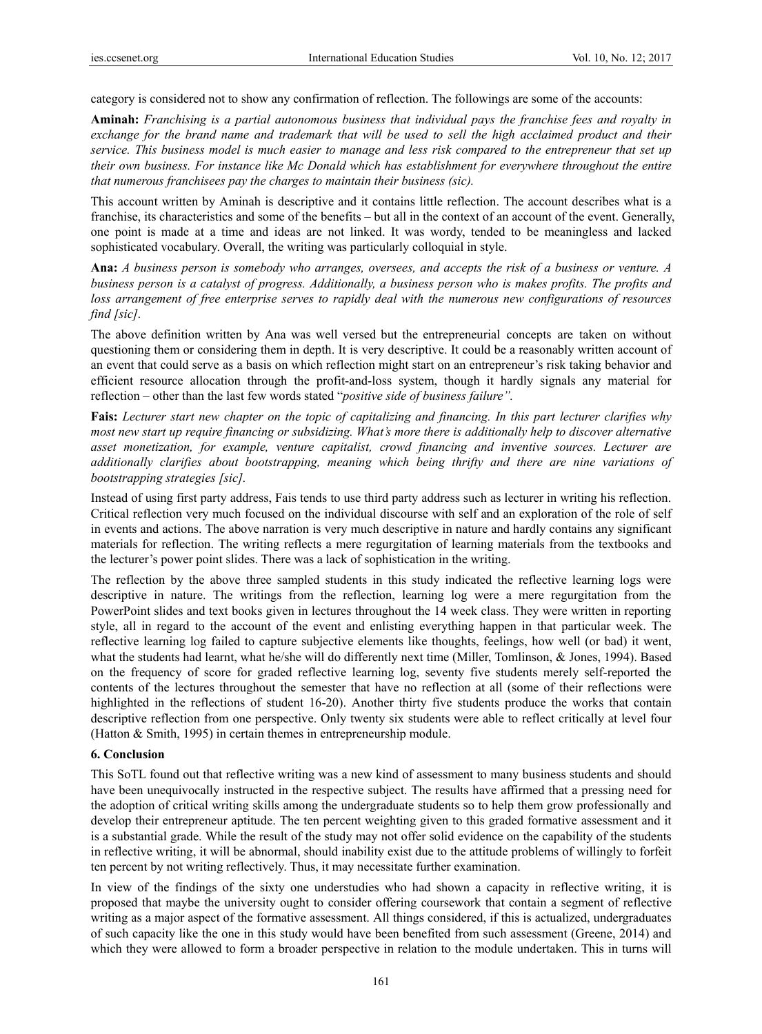category is considered not to show any confirmation of reflection. The followings are some of the accounts:

**Aminah:** *Franchising is a partial autonomous business that individual pays the franchise fees and royalty in exchange for the brand name and trademark that will be used to sell the high acclaimed product and their service. This business model is much easier to manage and less risk compared to the entrepreneur that set up their own business. For instance like Mc Donald which has establishment for everywhere throughout the entire that numerous franchisees pay the charges to maintain their business (sic).* 

This account written by Aminah is descriptive and it contains little reflection. The account describes what is a franchise, its characteristics and some of the benefits – but all in the context of an account of the event. Generally, one point is made at a time and ideas are not linked. It was wordy, tended to be meaningless and lacked sophisticated vocabulary. Overall, the writing was particularly colloquial in style.

**Ana:** *A business person is somebody who arranges, oversees, and accepts the risk of a business or venture. A business person is a catalyst of progress. Additionally, a business person who is makes profits. The profits and loss arrangement of free enterprise serves to rapidly deal with the numerous new configurations of resources find [sic].* 

The above definition written by Ana was well versed but the entrepreneurial concepts are taken on without questioning them or considering them in depth. It is very descriptive. It could be a reasonably written account of an event that could serve as a basis on which reflection might start on an entrepreneur's risk taking behavior and efficient resource allocation through the profit-and-loss system, though it hardly signals any material for reflection – other than the last few words stated "*positive side of business failure".*

**Fais:** *Lecturer start new chapter on the topic of capitalizing and financing. In this part lecturer clarifies why most new start up require financing or subsidizing. What's more there is additionally help to discover alternative asset monetization, for example, venture capitalist, crowd financing and inventive sources. Lecturer are additionally clarifies about bootstrapping, meaning which being thrifty and there are nine variations of bootstrapping strategies [sic].* 

Instead of using first party address, Fais tends to use third party address such as lecturer in writing his reflection. Critical reflection very much focused on the individual discourse with self and an exploration of the role of self in events and actions. The above narration is very much descriptive in nature and hardly contains any significant materials for reflection. The writing reflects a mere regurgitation of learning materials from the textbooks and the lecturer's power point slides. There was a lack of sophistication in the writing.

The reflection by the above three sampled students in this study indicated the reflective learning logs were descriptive in nature. The writings from the reflection, learning log were a mere regurgitation from the PowerPoint slides and text books given in lectures throughout the 14 week class. They were written in reporting style, all in regard to the account of the event and enlisting everything happen in that particular week. The reflective learning log failed to capture subjective elements like thoughts, feelings, how well (or bad) it went, what the students had learnt, what he/she will do differently next time (Miller, Tomlinson, & Jones, 1994). Based on the frequency of score for graded reflective learning log, seventy five students merely self-reported the contents of the lectures throughout the semester that have no reflection at all (some of their reflections were highlighted in the reflections of student 16-20). Another thirty five students produce the works that contain descriptive reflection from one perspective. Only twenty six students were able to reflect critically at level four (Hatton & Smith, 1995) in certain themes in entrepreneurship module.

# **6. Conclusion**

This SoTL found out that reflective writing was a new kind of assessment to many business students and should have been unequivocally instructed in the respective subject. The results have affirmed that a pressing need for the adoption of critical writing skills among the undergraduate students so to help them grow professionally and develop their entrepreneur aptitude. The ten percent weighting given to this graded formative assessment and it is a substantial grade. While the result of the study may not offer solid evidence on the capability of the students in reflective writing, it will be abnormal, should inability exist due to the attitude problems of willingly to forfeit ten percent by not writing reflectively. Thus, it may necessitate further examination.

In view of the findings of the sixty one understudies who had shown a capacity in reflective writing, it is proposed that maybe the university ought to consider offering coursework that contain a segment of reflective writing as a major aspect of the formative assessment. All things considered, if this is actualized, undergraduates of such capacity like the one in this study would have been benefited from such assessment (Greene, 2014) and which they were allowed to form a broader perspective in relation to the module undertaken. This in turns will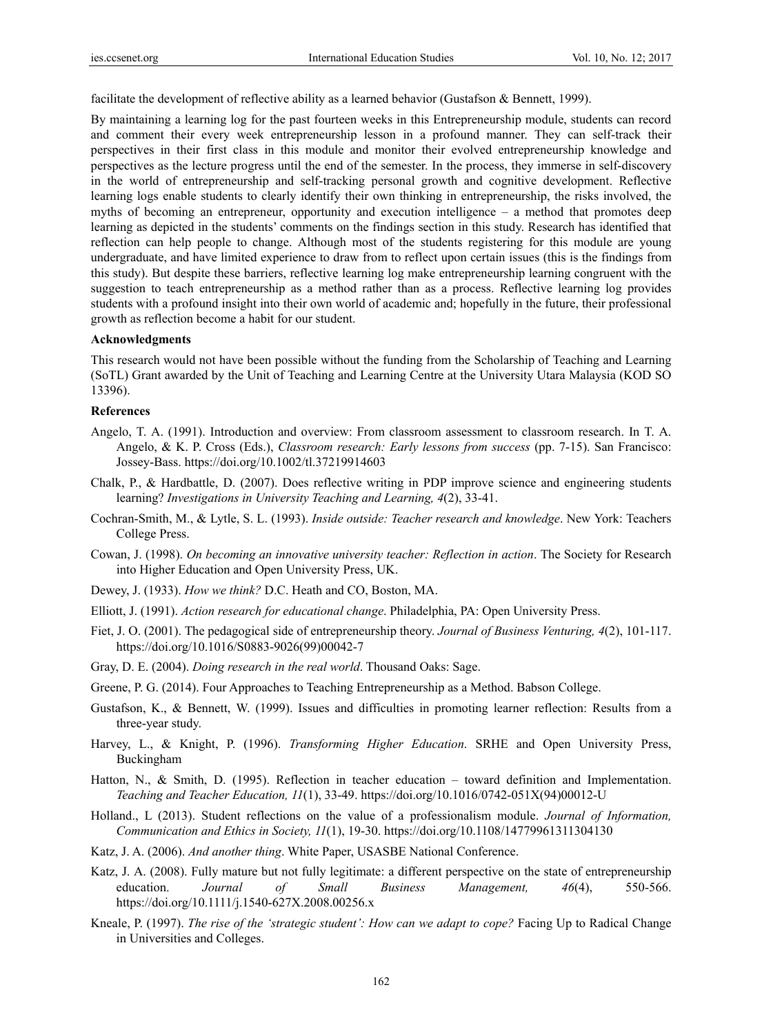facilitate the development of reflective ability as a learned behavior (Gustafson & Bennett, 1999).

By maintaining a learning log for the past fourteen weeks in this Entrepreneurship module, students can record and comment their every week entrepreneurship lesson in a profound manner. They can self-track their perspectives in their first class in this module and monitor their evolved entrepreneurship knowledge and perspectives as the lecture progress until the end of the semester. In the process, they immerse in self-discovery in the world of entrepreneurship and self-tracking personal growth and cognitive development. Reflective learning logs enable students to clearly identify their own thinking in entrepreneurship, the risks involved, the myths of becoming an entrepreneur, opportunity and execution intelligence – a method that promotes deep learning as depicted in the students' comments on the findings section in this study. Research has identified that reflection can help people to change. Although most of the students registering for this module are young undergraduate, and have limited experience to draw from to reflect upon certain issues (this is the findings from this study). But despite these barriers, reflective learning log make entrepreneurship learning congruent with the suggestion to teach entrepreneurship as a method rather than as a process. Reflective learning log provides students with a profound insight into their own world of academic and; hopefully in the future, their professional growth as reflection become a habit for our student.

#### **Acknowledgments**

This research would not have been possible without the funding from the Scholarship of Teaching and Learning (SoTL) Grant awarded by the Unit of Teaching and Learning Centre at the University Utara Malaysia (KOD SO 13396).

#### **References**

- Angelo, T. A. (1991). Introduction and overview: From classroom assessment to classroom research. In T. A. Angelo, & K. P. Cross (Eds.), *Classroom research: Early lessons from success* (pp. 7-15). San Francisco: Jossey-Bass. https://doi.org/10.1002/tl.37219914603
- Chalk, P., & Hardbattle, D. (2007). Does reflective writing in PDP improve science and engineering students learning? *Investigations in University Teaching and Learning, 4*(2), 33-41.
- Cochran-Smith, M., & Lytle, S. L. (1993). *Inside outside: Teacher research and knowledge*. New York: Teachers College Press.
- Cowan, J. (1998). *On becoming an innovative university teacher: Reflection in action*. The Society for Research into Higher Education and Open University Press, UK.
- Dewey, J. (1933). *How we think?* D.C. Heath and CO, Boston, MA.
- Elliott, J. (1991). *Action research for educational change*. Philadelphia, PA: Open University Press.
- Fiet, J. O. (2001). The pedagogical side of entrepreneurship theory. *Journal of Business Venturing, 4*(2), 101-117. https://doi.org/10.1016/S0883-9026(99)00042-7
- Gray, D. E. (2004). *Doing research in the real world*. Thousand Oaks: Sage.
- Greene, P. G. (2014). Four Approaches to Teaching Entrepreneurship as a Method. Babson College.
- Gustafson, K., & Bennett, W. (1999). Issues and difficulties in promoting learner reflection: Results from a three-year study.
- Harvey, L., & Knight, P. (1996). *Transforming Higher Education*. SRHE and Open University Press, Buckingham
- Hatton, N., & Smith, D. (1995). Reflection in teacher education toward definition and Implementation. *Teaching and Teacher Education, 11*(1), 33-49. https://doi.org/10.1016/0742-051X(94)00012-U
- Holland., L (2013). Student reflections on the value of a professionalism module. *Journal of Information, Communication and Ethics in Society, 11*(1), 19-30. https://doi.org/10.1108/14779961311304130
- Katz, J. A. (2006). *And another thing*. White Paper, USASBE National Conference.
- Katz, J. A. (2008). Fully mature but not fully legitimate: a different perspective on the state of entrepreneurship education. *Journal of Small Business Management, 46*(4), 550-566. https://doi.org/10.1111/j.1540-627X.2008.00256.x
- Kneale, P. (1997). *The rise of the 'strategic student': How can we adapt to cope?* Facing Up to Radical Change in Universities and Colleges.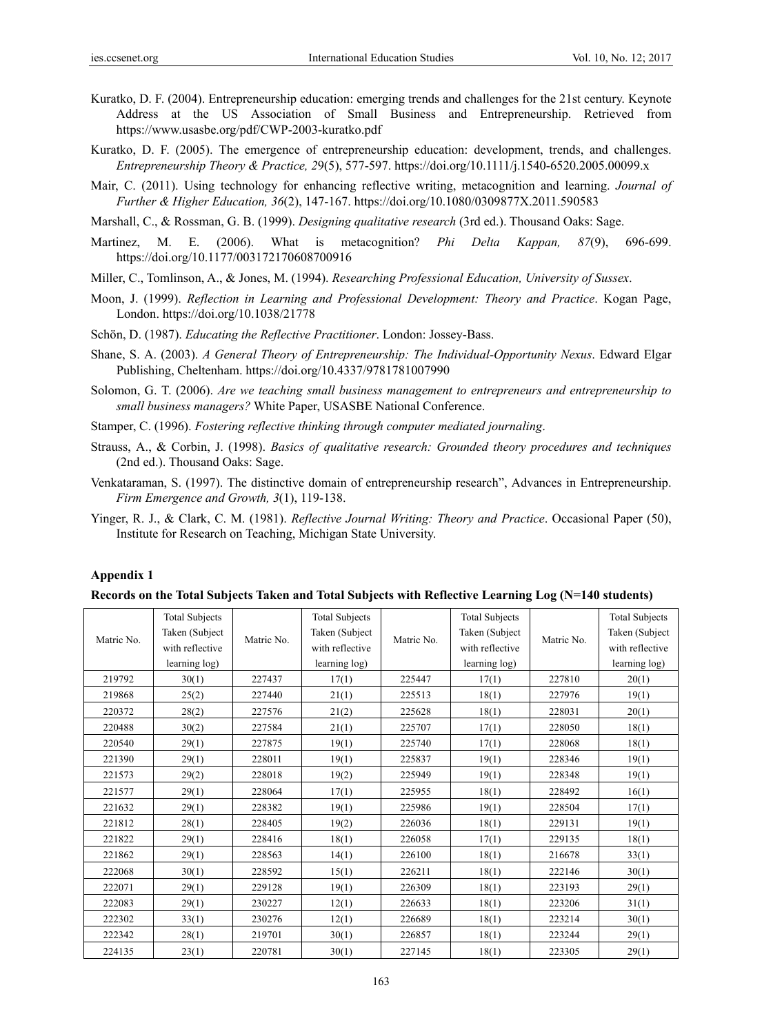- Kuratko, D. F. (2004). Entrepreneurship education: emerging trends and challenges for the 21st century. Keynote Address at the US Association of Small Business and Entrepreneurship. Retrieved from https://www.usasbe.org/pdf/CWP-2003-kuratko.pdf
- Kuratko, D. F. (2005). The emergence of entrepreneurship education: development, trends, and challenges. *Entrepreneurship Theory & Practice, 2*9(5), 577-597. https://doi.org/10.1111/j.1540-6520.2005.00099.x
- Mair, C. (2011). Using technology for enhancing reflective writing, metacognition and learning. *Journal of Further & Higher Education, 36*(2), 147-167. https://doi.org/10.1080/0309877X.2011.590583
- Marshall, C., & Rossman, G. B. (1999). *Designing qualitative research* (3rd ed.). Thousand Oaks: Sage.
- Martinez, M. E. (2006). What is metacognition? *Phi Delta Kappan, 87*(9), 696-699. https://doi.org/10.1177/003172170608700916
- Miller, C., Tomlinson, A., & Jones, M. (1994). *Researching Professional Education, University of Sussex*.
- Moon, J. (1999). *Reflection in Learning and Professional Development: Theory and Practice*. Kogan Page, London. https://doi.org/10.1038/21778
- Schön, D. (1987). *Educating the Reflective Practitioner*. London: Jossey-Bass.
- Shane, S. A. (2003). *A General Theory of Entrepreneurship: The Individual-Opportunity Nexus*. Edward Elgar Publishing, Cheltenham. https://doi.org/10.4337/9781781007990
- Solomon, G. T. (2006). *Are we teaching small business management to entrepreneurs and entrepreneurship to small business managers?* White Paper, USASBE National Conference.
- Stamper, C. (1996). *Fostering reflective thinking through computer mediated journaling*.
- Strauss, A., & Corbin, J. (1998). *Basics of qualitative research: Grounded theory procedures and techniques* (2nd ed.). Thousand Oaks: Sage.
- Venkataraman, S. (1997). The distinctive domain of entrepreneurship research", Advances in Entrepreneurship. *Firm Emergence and Growth, 3*(1), 119-138.
- Yinger, R. J., & Clark, C. M. (1981). *Reflective Journal Writing: Theory and Practice*. Occasional Paper (50), Institute for Research on Teaching, Michigan State University.

#### **Appendix 1**

|  |  |  |  | Records on the Total Subjects Taken and Total Subjects with Reflective Learning Log (N=140 students) |
|--|--|--|--|------------------------------------------------------------------------------------------------------|
|--|--|--|--|------------------------------------------------------------------------------------------------------|

| Matric No. | <b>Total Subjects</b><br>Taken (Subject) | Matric No. | <b>Total Subjects</b><br>Taken (Subject | Matric No. | <b>Total Subjects</b><br>Taken (Subject) | Matric No. | <b>Total Subjects</b><br>Taken (Subject |
|------------|------------------------------------------|------------|-----------------------------------------|------------|------------------------------------------|------------|-----------------------------------------|
|            | with reflective                          |            | with reflective                         |            | with reflective                          |            | with reflective                         |
|            | learning log)                            |            | learning log)                           |            | learning log)                            |            | learning log)                           |
| 219792     | 30(1)                                    | 227437     | 17(1)                                   | 225447     | 17(1)                                    | 227810     | 20(1)                                   |
| 219868     | 25(2)                                    | 227440     | 21(1)                                   | 225513     | 18(1)                                    | 227976     | 19(1)                                   |
| 220372     | 28(2)                                    | 227576     | 21(2)                                   | 225628     | 18(1)                                    | 228031     | 20(1)                                   |
| 220488     | 30(2)                                    | 227584     | 21(1)                                   | 225707     | 17(1)                                    | 228050     | 18(1)                                   |
| 220540     | 29(1)                                    | 227875     | 19(1)                                   | 225740     | 17(1)                                    | 228068     | 18(1)                                   |
| 221390     | 29(1)                                    | 228011     | 19(1)                                   | 225837     | 19(1)                                    | 228346     | 19(1)                                   |
| 221573     | 29(2)                                    | 228018     | 19(2)                                   | 225949     | 19(1)                                    | 228348     | 19(1)                                   |
| 221577     | 29(1)                                    | 228064     | 17(1)                                   | 225955     | 18(1)                                    | 228492     | 16(1)                                   |
| 221632     | 29(1)                                    | 228382     | 19(1)                                   | 225986     | 19(1)                                    | 228504     | 17(1)                                   |
| 221812     | 28(1)                                    | 228405     | 19(2)                                   | 226036     | 18(1)                                    | 229131     | 19(1)                                   |
| 221822     | 29(1)                                    | 228416     | 18(1)                                   | 226058     | 17(1)                                    | 229135     | 18(1)                                   |
| 221862     | 29(1)                                    | 228563     | 14(1)                                   | 226100     | 18(1)                                    | 216678     | 33(1)                                   |
| 222068     | 30(1)                                    | 228592     | 15(1)                                   | 226211     | 18(1)                                    | 222146     | 30(1)                                   |
| 222071     | 29(1)                                    | 229128     | 19(1)                                   | 226309     | 18(1)                                    | 223193     | 29(1)                                   |
| 222083     | 29(1)                                    | 230227     | 12(1)                                   | 226633     | 18(1)                                    | 223206     | 31(1)                                   |
| 222302     | 33(1)                                    | 230276     | 12(1)                                   | 226689     | 18(1)                                    | 223214     | 30(1)                                   |
| 222342     | 28(1)                                    | 219701     | 30(1)                                   | 226857     | 18(1)                                    | 223244     | 29(1)                                   |
| 224135     | 23(1)                                    | 220781     | 30(1)                                   | 227145     | 18(1)                                    | 223305     | 29(1)                                   |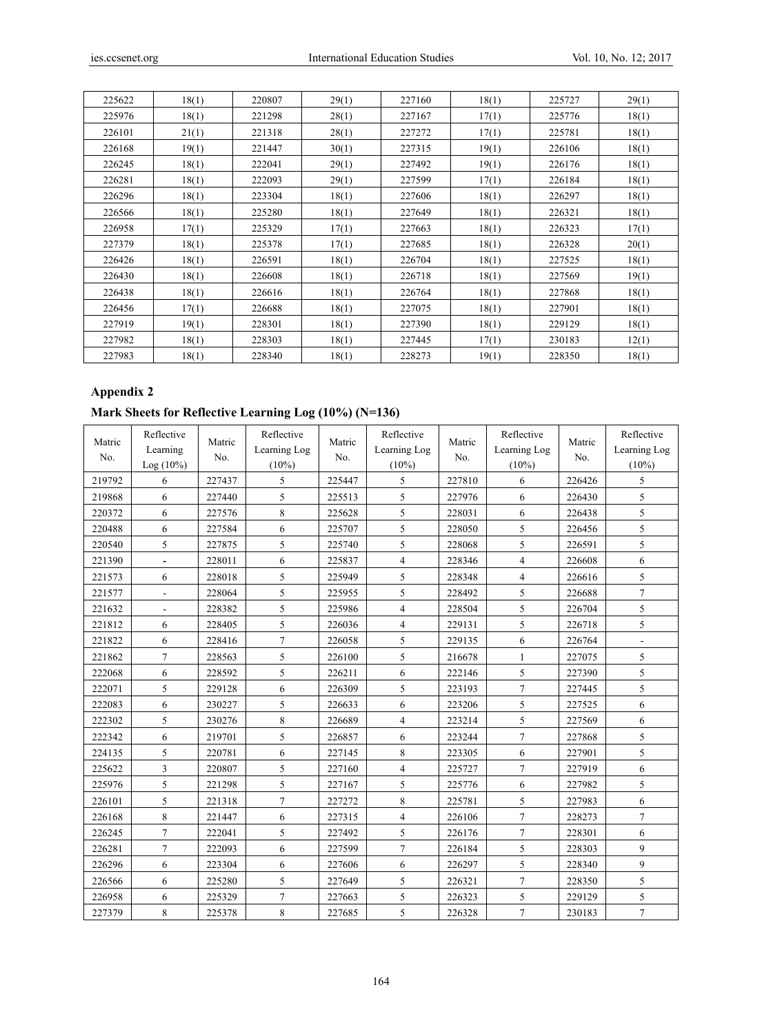| 225622 | 18(1) | 220807 | 29(1) | 227160 | 18(1) | 225727 | 29(1) |
|--------|-------|--------|-------|--------|-------|--------|-------|
| 225976 | 18(1) | 221298 | 28(1) | 227167 | 17(1) | 225776 | 18(1) |
| 226101 | 21(1) | 221318 | 28(1) | 227272 | 17(1) | 225781 | 18(1) |
| 226168 | 19(1) | 221447 | 30(1) | 227315 | 19(1) | 226106 | 18(1) |
| 226245 | 18(1) | 222041 | 29(1) | 227492 | 19(1) | 226176 | 18(1) |
| 226281 | 18(1) | 222093 | 29(1) | 227599 | 17(1) | 226184 | 18(1) |
| 226296 | 18(1) | 223304 | 18(1) | 227606 | 18(1) | 226297 | 18(1) |
| 226566 | 18(1) | 225280 | 18(1) | 227649 | 18(1) | 226321 | 18(1) |
| 226958 | 17(1) | 225329 | 17(1) | 227663 | 18(1) | 226323 | 17(1) |
| 227379 | 18(1) | 225378 | 17(1) | 227685 | 18(1) | 226328 | 20(1) |
| 226426 | 18(1) | 226591 | 18(1) | 226704 | 18(1) | 227525 | 18(1) |
| 226430 | 18(1) | 226608 | 18(1) | 226718 | 18(1) | 227569 | 19(1) |
| 226438 | 18(1) | 226616 | 18(1) | 226764 | 18(1) | 227868 | 18(1) |
| 226456 | 17(1) | 226688 | 18(1) | 227075 | 18(1) | 227901 | 18(1) |
| 227919 | 19(1) | 228301 | 18(1) | 227390 | 18(1) | 229129 | 18(1) |
| 227982 | 18(1) | 228303 | 18(1) | 227445 | 17(1) | 230183 | 12(1) |
| 227983 | 18(1) | 228340 | 18(1) | 228273 | 19(1) | 228350 | 18(1) |

# **Appendix 2**

# **Mark Sheets for Reflective Learning Log (10%) (N=136)**

| Matric<br>No. | Reflective<br>Learning   | Matric<br>No. | Reflective<br>Learning Log | Matric<br>No. | Reflective<br>Learning Log | Matric<br>No. | Reflective<br>Learning Log | Matric<br>No. | Reflective<br>Learning Log |
|---------------|--------------------------|---------------|----------------------------|---------------|----------------------------|---------------|----------------------------|---------------|----------------------------|
|               | $Log(10\%)$              |               | $(10\%)$                   |               | $(10\%)$                   |               | $(10\%)$                   |               | $(10\%)$                   |
| 219792        | 6                        | 227437        | 5                          | 225447        | 5                          | 227810        | 6                          | 226426        | 5                          |
| 219868        | 6                        | 227440        | 5                          | 225513        | 5                          | 227976        | 6                          | 226430        | 5                          |
| 220372        | 6                        | 227576        | 8                          | 225628        | 5                          | 228031        | 6                          | 226438        | 5                          |
| 220488        | 6                        | 227584        | 6                          | 225707        | 5                          | 228050        | 5                          | 226456        | 5                          |
| 220540        | 5                        | 227875        | 5                          | 225740        | 5                          | 228068        | 5                          | 226591        | 5                          |
| 221390        | $\overline{\phantom{a}}$ | 228011        | 6                          | 225837        | $\overline{4}$             | 228346        | $\overline{4}$             | 226608        | 6                          |
| 221573        | 6                        | 228018        | 5                          | 225949        | 5                          | 228348        | $\overline{4}$             | 226616        | 5                          |
| 221577        | $\blacksquare$           | 228064        | 5                          | 225955        | 5                          | 228492        | 5                          | 226688        | $\overline{7}$             |
| 221632        | $\blacksquare$           | 228382        | 5                          | 225986        | $\overline{4}$             | 228504        | 5                          | 226704        | 5                          |
| 221812        | 6                        | 228405        | 5                          | 226036        | $\overline{4}$             | 229131        | 5                          | 226718        | 5                          |
| 221822        | 6                        | 228416        | $\tau$                     | 226058        | 5                          | 229135        | 6                          | 226764        | $\blacksquare$             |
| 221862        | $\overline{7}$           | 228563        | 5                          | 226100        | 5                          | 216678        | 1                          | 227075        | 5                          |
| 222068        | 6                        | 228592        | 5                          | 226211        | 6                          | 222146        | 5                          | 227390        | 5                          |
| 222071        | 5                        | 229128        | 6                          | 226309        | 5                          | 223193        | $\overline{7}$             | 227445        | 5                          |
| 222083        | 6                        | 230227        | 5                          | 226633        | 6                          | 223206        | 5                          | 227525        | 6                          |
| 222302        | 5                        | 230276        | 8                          | 226689        | $\overline{4}$             | 223214        | 5                          | 227569        | 6                          |
| 222342        | 6                        | 219701        | 5                          | 226857        | 6                          | 223244        | $\overline{7}$             | 227868        | 5                          |
| 224135        | 5                        | 220781        | 6                          | 227145        | 8                          | 223305        | 6                          | 227901        | 5                          |
| 225622        | 3                        | 220807        | 5                          | 227160        | $\overline{\mathcal{L}}$   | 225727        | $\tau$                     | 227919        | 6                          |
| 225976        | 5                        | 221298        | 5                          | 227167        | 5                          | 225776        | 6                          | 227982        | 5                          |
| 226101        | 5                        | 221318        | $\overline{7}$             | 227272        | 8                          | 225781        | 5                          | 227983        | 6                          |
| 226168        | 8                        | 221447        | 6                          | 227315        | $\overline{4}$             | 226106        | $\overline{7}$             | 228273        | $\overline{7}$             |
| 226245        | $\tau$                   | 222041        | 5                          | 227492        | 5                          | 226176        | 7                          | 228301        | 6                          |
| 226281        | $\tau$                   | 222093        | 6                          | 227599        | 7                          | 226184        | 5                          | 228303        | 9                          |
| 226296        | 6                        | 223304        | 6                          | 227606        | 6                          | 226297        | 5                          | 228340        | 9                          |
| 226566        | 6                        | 225280        | 5                          | 227649        | 5                          | 226321        | $\overline{7}$             | 228350        | 5                          |
| 226958        | 6                        | 225329        | $\overline{7}$             | 227663        | 5                          | 226323        | 5                          | 229129        | 5                          |
| 227379        | 8                        | 225378        | 8                          | 227685        | 5                          | 226328        | $\overline{7}$             | 230183        | $\tau$                     |